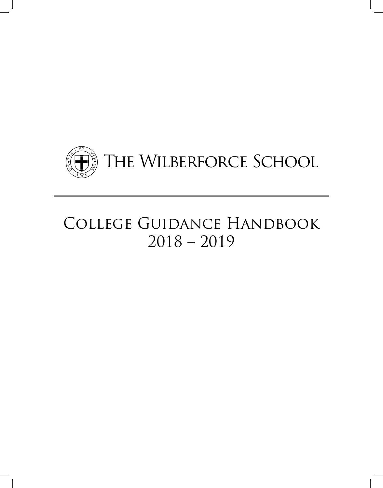

# College Guidance Handbook 2018 – 2019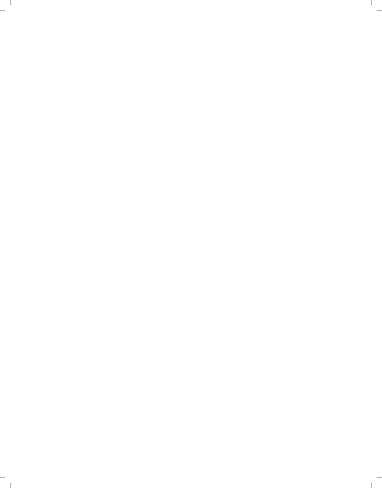$\mathbb{L}$ 

 $\sim$  1

 $=$   $\overline{1}$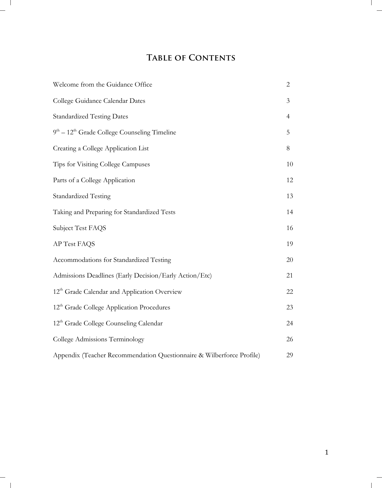# **Table of Contents**

 $\mathbb{R}^2$ 

 $\sim$  1

| Welcome from the Guidance Office                                      | $\overline{2}$ |
|-----------------------------------------------------------------------|----------------|
| College Guidance Calendar Dates                                       | 3              |
| <b>Standardized Testing Dates</b>                                     | $\overline{4}$ |
| $9th - 12th$ Grade College Counseling Timeline                        | 5              |
| Creating a College Application List                                   | 8              |
| Tips for Visiting College Campuses                                    | 10             |
| Parts of a College Application                                        | 12             |
| <b>Standardized Testing</b>                                           | 13             |
| Taking and Preparing for Standardized Tests                           | 14             |
| Subject Test FAQS                                                     | 16             |
| AP Test FAQS                                                          | 19             |
| Accommodations for Standardized Testing                               | 20             |
| Admissions Deadlines (Early Decision/Early Action/Etc)                | 21             |
| 12 <sup>th</sup> Grade Calendar and Application Overview              | 22             |
| 12 <sup>th</sup> Grade College Application Procedures                 | 23             |
| 12 <sup>th</sup> Grade College Counseling Calendar                    | 24             |
| College Admissions Terminology                                        | 26             |
| Appendix (Teacher Recommendation Questionnaire & Wilberforce Profile) | 29             |

 $\mathbb{L}$ 

 $\mathbb{R}^n$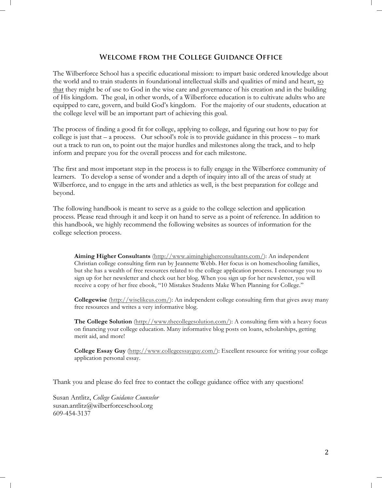### **Welcome from the College Guidance Office**

The Wilberforce School has a specific educational mission: to impart basic ordered knowledge about the world and to train students in foundational intellectual skills and qualities of mind and heart, so that they might be of use to God in the wise care and governance of his creation and in the building of His kingdom. The goal, in other words, of a Wilberforce education is to cultivate adults who are equipped to care, govern, and build God's kingdom. For the majority of our students, education at the college level will be an important part of achieving this goal.

The process of finding a good fit for college, applying to college, and figuring out how to pay for college is just that  $-$  a process. Our school's role is to provide guidance in this process  $-$  to mark out a track to run on, to point out the major hurdles and milestones along the track, and to help inform and prepare you for the overall process and for each milestone.

The first and most important step in the process is to fully engage in the Wilberforce community of learners. To develop a sense of wonder and a depth of inquiry into all of the areas of study at Wilberforce, and to engage in the arts and athletics as well, is the best preparation for college and beyond.

The following handbook is meant to serve as a guide to the college selection and application process. Please read through it and keep it on hand to serve as a point of reference. In addition to this handbook, we highly recommend the following websites as sources of information for the college selection process.

**Aiming Higher Consultants** (http://www.aiminghigherconsultants.com/): An independent Christian college consulting firm run by Jeannette Webb. Her focus is on homeschooling families, but she has a wealth of free resources related to the college application process. I encourage you to sign up for her newsletter and check out her blog. When you sign up for her newsletter, you will receive a copy of her free ebook, "10 Mistakes Students Make When Planning for College."

**Collegewise** (http://wiselikeus.com/): An independent college consulting firm that gives away many free resources and writes a very informative blog.

**The College Solution** (http://www.thecollegesolution.com/): A consulting firm with a heavy focus on financing your college education. Many informative blog posts on loans, scholarships, getting merit aid, and more!

**College Essay Guy** (http://www.collegeessayguy.com/): Excellent resource for writing your college application personal essay.

Thank you and please do feel free to contact the college guidance office with any questions!

Susan Antlitz, *College Guidance Counselor* susan.antlitz@wilberforceschool.org 609-454-3137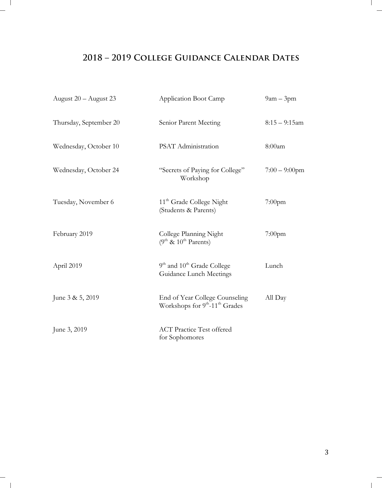# **2018 – 2019 College Guidance Calendar Dates**

 $\mathbb{R}^2$ 

 $\sim$  1

| August 20 - August 23  | Application Boot Camp                                                                    | $9am - 3pm$      |
|------------------------|------------------------------------------------------------------------------------------|------------------|
| Thursday, September 20 | Senior Parent Meeting                                                                    | $8:15 - 9:15$ am |
| Wednesday, October 10  | PSAT Administration                                                                      | 8:00am           |
| Wednesday, October 24  | "Secrets of Paying for College"<br>Workshop                                              | $7:00 - 9:00$ pm |
| Tuesday, November 6    | 11 <sup>th</sup> Grade College Night<br>(Students & Parents)                             | $7:00$ pm        |
| February 2019          | College Planning Night<br>$(9th$ & $10th$ Parents)                                       | $7:00$ pm        |
| April 2019             | 9 <sup>th</sup> and 10 <sup>th</sup> Grade College<br>Guidance Lunch Meetings            | Lunch            |
| June $3 & 5, 2019$     | End of Year College Counseling<br>Workshops for 9 <sup>th</sup> -11 <sup>th</sup> Grades | All Day          |
| June 3, 2019           | <b>ACT Practice Test offered</b><br>for Sophomores                                       |                  |

Τ.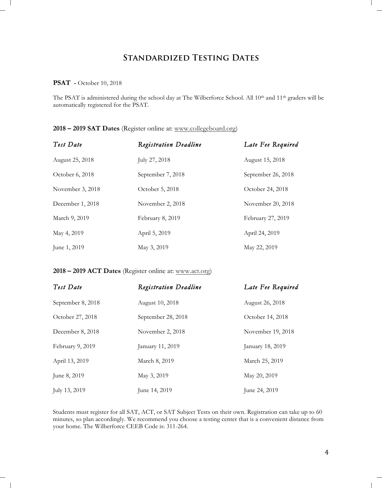### **Standardized Testing Dates**

### **PSAT -** October 10, 2018

 $\mathbb{R}$ 

 $\sim$ 

The PSAT is administered during the school day at The Wilberforce School. All 10<sup>th</sup> and 11<sup>th</sup> graders will be automatically registered for the PSAT.

### **2018 – 2019 SAT Dates** (Register online at: www.collegeboard.org)

| Test Date        | <b>Registration Deadline</b> | Late Fee Required  |
|------------------|------------------------------|--------------------|
| August 25, 2018  | July 27, 2018                | August 15, 2018    |
| October 6, 2018  | September 7, 2018            | September 26, 2018 |
| November 3, 2018 | October 5, 2018              | October 24, 2018   |
| December 1, 2018 | November 2, 2018             | November 20, 2018  |
| March 9, 2019    | February 8, 2019             | February 27, 2019  |
| May 4, 2019      | April 5, 2019                | April 24, 2019     |
| June 1, 2019     | May 3, 2019                  | May 22, 2019       |

### **2018 – 2019 ACT Dates** (Register online at: www.act.org)

| Test Date         | <b>Registration Deadline</b> | Late Fee Required |
|-------------------|------------------------------|-------------------|
| September 8, 2018 | August 10, 2018              | August 26, 2018   |
| October 27, 2018  | September 28, 2018           | October 14, 2018  |
| December 8, 2018  | November 2, 2018             | November 19, 2018 |
| February 9, 2019  | January 11, 2019             | January 18, 2019  |
| April 13, 2019    | March 8, 2019                | March 25, 2019    |
| June 8, 2019      | May 3, 2019                  | May 20, 2019      |
| July 13, 2019     | June 14, 2019                | June 24, 2019     |

Students must register for all SAT, ACT, or SAT Subject Tests on their own. Registration can take up to 60 minutes, so plan accordingly. We recommend you choose a testing center that is a convenient distance from your home. The Wilberforce CEEB Code is: 311-264.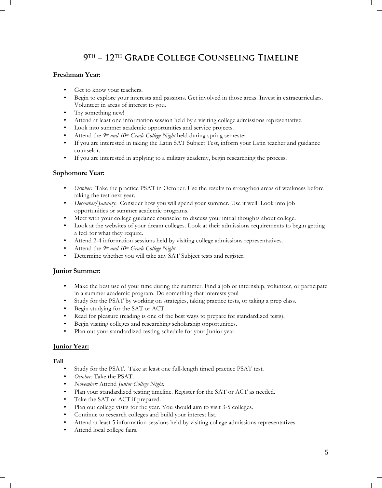### **9th – 12th Grade College Counseling Timeline**

### **Freshman Year:**

- Get to know your teachers.
- Begin to explore your interests and passions. Get involved in those areas. Invest in extracurriculars. Volunteer in areas of interest to you.
- Try something new!
- Attend at least one information session held by a visiting college admissions representative.
- Look into summer academic opportunities and service projects.
- Attend the *9th and 10th Grade College Night* held during spring semester.
- If you are interested in taking the Latin SAT Subject Test, inform your Latin teacher and guidance counselor.
- If you are interested in applying to a military academy, begin researching the process.

### **Sophomore Year:**

- *October:* Take the practice PSAT in October. Use the results to strengthen areas of weakness before taking the test next year.
- *December/January*: Consider how you will spend your summer. Use it well! Look into job opportunities or summer academic programs.
- Meet with your college guidance counselor to discuss your initial thoughts about college.
- Look at the websites of your dream colleges. Look at their admissions requirements to begin getting a feel for what they require.
- Attend 2-4 information sessions held by visiting college admissions representatives.
- Attend the *9th and 10th Grade College Night*.
- Determine whether you will take any SAT Subject tests and register.

### **Junior Summer:**

- Make the best use of your time during the summer. Find a job or internship, volunteer, or participate in a summer academic program. Do something that interests you!
- Study for the PSAT by working on strategies, taking practice tests, or taking a prep class.
- Begin studying for the SAT or ACT.
- Read for pleasure (reading is one of the best ways to prepare for standardized tests).
- Begin visiting colleges and researching scholarship opportunities.
- Plan out your standardized testing schedule for your Junior year.

### **Junior Year:**

### **Fall**

- Study for the PSAT. Take at least one full-length timed practice PSAT test.
- *October:* Take the PSAT.
- *November:* Attend *Junior College Night.*
- Plan your standardized testing timeline. Register for the SAT or ACT as needed.
- Take the SAT or ACT if prepared.
- Plan out college visits for the year. You should aim to visit 3-5 colleges.
- Continue to research colleges and build your interest list.
- Attend at least 5 information sessions held by visiting college admissions representatives.
- Attend local college fairs.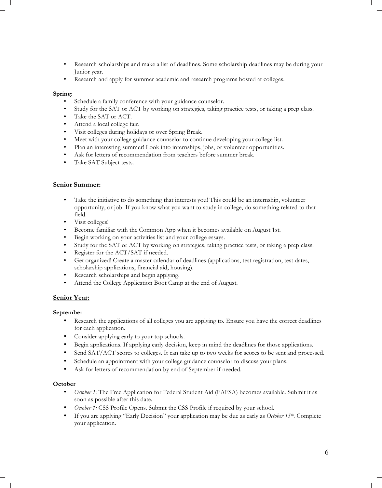- Research scholarships and make a list of deadlines. Some scholarship deadlines may be during your Junior year.
- Research and apply for summer academic and research programs hosted at colleges.

#### **Spring**:

- Schedule a family conference with your guidance counselor.
- Study for the SAT or ACT by working on strategies, taking practice tests, or taking a prep class.
- Take the SAT or ACT.
- Attend a local college fair.
- Visit colleges during holidays or over Spring Break.
- Meet with your college guidance counselor to continue developing your college list.
- Plan an interesting summer! Look into internships, jobs, or volunteer opportunities.
- Ask for letters of recommendation from teachers before summer break.
- Take SAT Subject tests.

### **Senior Summer:**

- Take the initiative to do something that interests you! This could be an internship, volunteer opportunity, or job. If you know what you want to study in college, do something related to that field.
- Visit colleges!
- Become familiar with the Common App when it becomes available on August 1st.
- Begin working on your activities list and your college essays.
- Study for the SAT or ACT by working on strategies, taking practice tests, or taking a prep class.
- Register for the ACT/SAT if needed.
- Get organized! Create a master calendar of deadlines (applications, test registration, test dates, scholarship applications, financial aid, housing).
- Research scholarships and begin applying.
- Attend the College Application Boot Camp at the end of August.

### **Senior Year:**

#### **September**

- Research the applications of all colleges you are applying to. Ensure you have the correct deadlines for each application.
- Consider applying early to your top schools.
- Begin applications. If applying early decision, keep in mind the deadlines for those applications.
- Send SAT/ACT scores to colleges. It can take up to two weeks for scores to be sent and processed.
- Schedule an appointment with your college guidance counselor to discuss your plans.
- Ask for letters of recommendation by end of September if needed.

#### **October**

- *October 1*: The Free Application for Federal Student Aid (FAFSA) becomes available. Submit it as soon as possible after this date.
- *October 1:* CSS Profile Opens. Submit the CSS Profile if required by your school.
- If you are applying "Early Decision" your application may be due as early as *October 15th.* Complete your application.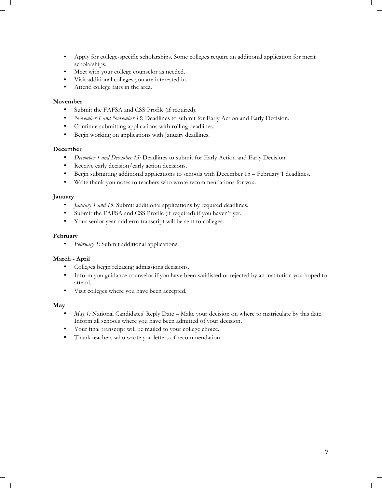- Apply for college-specific scholarships. Some colleges require an additional application for merit scholarships.
- Meet with your college counselor as needed.
- Visit additional colleges you are interested in.
- Attend college fairs in the area.

### **November**

- Submit the FAFSA and CSS Profile (if required).
- *November 1 and November 15*: Deadlines to submit for Early Action and Early Decision.
- Continue submitting applications with rolling deadlines.
- Begin working on applications with January deadlines.

#### **December**

- *December 1 and December 15:* Deadlines to submit for Early Action and Early Decision.
- Receive early decision/early action decisions.
- Begin submitting additional applications to schools with December 15 February 1 deadlines.
- Write thank-you notes to teachers who wrote recommendations for you.

#### **January**

- *January 1 and 15*: Submit additional applications by required deadlines.
- Submit the FAFSA and CSS Profile (if required) if you haven't yet.
- Your senior year midterm transcript will be sent to colleges.

#### **February**

• *February 1*: Submit additional applications.

#### **March - April**

- Colleges begin releasing admissions decisions.
- Inform you guidance counselor if you have been waitlisted or rejected by an institution you hoped to attend.
- Visit colleges where you have been accepted.

#### **May**

- *May 1:* National Candidates' Reply Date Make your decision on where to matriculate by this date. Inform all schools where you have been admitted of your decision.
- Your final transcript will be mailed to your college choice.
- Thank teachers who wrote you letters of recommendation.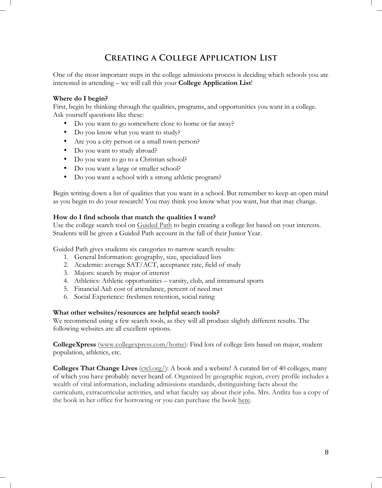### **Creating a College Application List**

One of the most important steps in the college admissions process is deciding which schools you are interested in attending – we will call this your **College Application List**!

### **Where do I begin?**

First, begin by thinking through the qualities, programs, and opportunities you want in a college. Ask yourself questions like these:

- Do you want to go somewhere close to home or far away?
- Do you know what you want to study?
- Are you a city person or a small town person?
- Do you want to study abroad?
- Do you want to go to a Christian school?
- Do you want a large or smaller school?
- Do you want a school with a strong athletic program?

Begin writing down a list of qualities that you want in a school. But remember to keep an open mind as you begin to do your research! You may think you know what you want, but that may change.

### **How do I find schools that match the qualities I want?**

Use the college search tool on Guided Path to begin creating a college list based on your interests. Students will be given a Guided Path account in the fall of their Junior Year.

Guided Path gives students six categories to narrow search results:

- 1. General Information: geography, size, specialized lists
- 2. Academic: average SAT/ACT, acceptance rate, field of study
- 3. Majors: search by major of interest
- 4. Athletics: Athletic opportunities varsity, club, and intramural sports
- 5. Financial Aid: cost of attendance, percent of need met
- 6. Social Experience: freshmen retention, social rating

### **What other websites/resources are helpful search tools?**

We recommend using a few search tools, as they will all produce slightly different results. The following websites are all excellent options.

**CollegeXpress** (www.collegexpress.com/home): Find lots of college lists based on major, student population, athletics, etc.

**Colleges That Change Lives** (ctcl.org/): A book and a website! A curated list of 40 colleges, many of which you have probably never heard of. Organized by geographic region, every profile includes a wealth of vital information, including admissions standards, distinguishing facts about the curriculum, extracurricular activities, and what faculty say about their jobs. Mrs. Antlitz has a copy of the book in her office for borrowing or you can purchase the book here.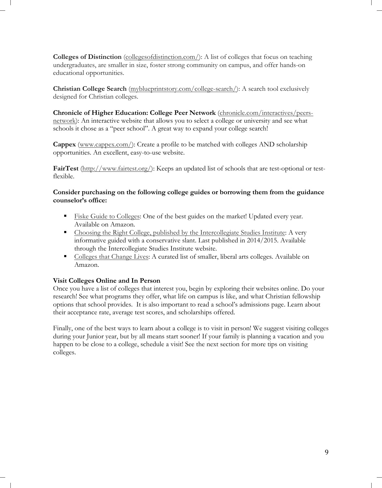Colleges of Distinction (collegesofdistinction.com/): A list of colleges that focus on teaching undergraduates, are smaller in size, foster strong community on campus, and offer hands-on educational opportunities.

**Christian College Search** (myblueprintstory.com/college-search/): A search tool exclusively designed for Christian colleges.

**Chronicle of Higher Education: College Peer Network** (chronicle.com/interactives/peersnetwork): An interactive website that allows you to select a college or university and see what schools it chose as a "peer school". A great way to expand your college search!

**Cappex** (www.cappex.com/): Create a profile to be matched with colleges AND scholarship opportunities. An excellent, easy-to-use website.

**FairTest** (http://www.fairtest.org/): Keeps an updated list of schools that are test-optional or testflexible.

### **Consider purchasing on the following college guides or borrowing them from the guidance counselor's office:**

- Fiske Guide to Colleges: One of the best guides on the market! Updated every year. Available on Amazon.
- Choosing the Right College, published by the Intercollegiate Studies Institute: A very informative guided with a conservative slant. Last published in 2014/2015. Available through the Intercollegiate Studies Institute website.
- <sup>■</sup> Colleges that Change Lives: A curated list of smaller, liberal arts colleges. Available on Amazon.

### **Visit Colleges Online and In Person**

Once you have a list of colleges that interest you, begin by exploring their websites online. Do your research! See what programs they offer, what life on campus is like, and what Christian fellowship options that school provides. It is also important to read a school's admissions page. Learn about their acceptance rate, average test scores, and scholarships offered.

Finally, one of the best ways to learn about a college is to visit in person! We suggest visiting colleges during your Junior year, but by all means start sooner! If your family is planning a vacation and you happen to be close to a college, schedule a visit! See the next section for more tips on visiting colleges.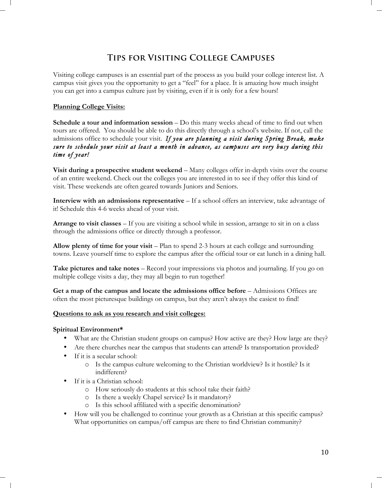### **Tips for Visiting College Campuses**

Visiting college campuses is an essential part of the process as you build your college interest list. A campus visit gives you the opportunity to get a "feel" for a place. It is amazing how much insight you can get into a campus culture just by visiting, even if it is only for a few hours!

### **Planning College Visits:**

**Schedule a tour and information session** – Do this many weeks ahead of time to find out when tours are offered. You should be able to do this directly through a school's website. If not, call the admissions office to schedule your visit. *If you are planning a visit during Spring Break, make sure to schedule your visit at least a month in advance, as campuses are very busy during this time of year!*

**Visit during a prospective student weekend** *–* Many colleges offer in-depth visits over the course of an entire weekend. Check out the colleges you are interested in to see if they offer this kind of visit. These weekends are often geared towards Juniors and Seniors.

**Interview with an admissions representative** – If a school offers an interview, take advantage of it! Schedule this 4-6 weeks ahead of your visit.

**Arrange to visit classes** – If you are visiting a school while in session, arrange to sit in on a class through the admissions office or directly through a professor.

**Allow plenty of time for your visit** – Plan to spend 2-3 hours at each college and surrounding towns. Leave yourself time to explore the campus after the official tour or eat lunch in a dining hall.

**Take pictures and take notes** – Record your impressions via photos and journaling. If you go on multiple college visits a day, they may all begin to run together!

**Get a map of the campus and locate the admissions office before** – Admissions Offices are often the most picturesque buildings on campus, but they aren't always the easiest to find!

### **Questions to ask as you research and visit colleges:**

### **Spiritual Environment\***

- What are the Christian student groups on campus? How active are they? How large are they?
- Are there churches near the campus that students can attend? Is transportation provided?
- If it is a secular school:
	- o Is the campus culture welcoming to the Christian worldview? Is it hostile? Is it indifferent?
- If it is a Christian school:
	- o How seriously do students at this school take their faith?
	- o Is there a weekly Chapel service? Is it mandatory?
	- o Is this school affiliated with a specific denomination?
- How will you be challenged to continue your growth as a Christian at this specific campus? What opportunities on campus/off campus are there to find Christian community?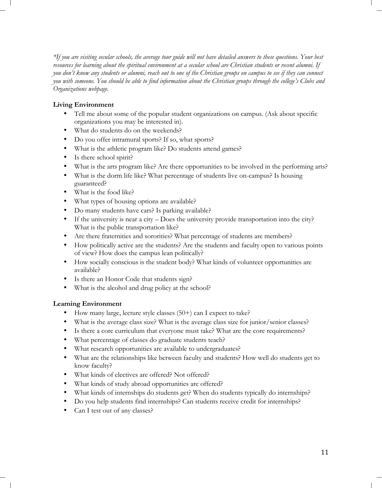*\*If you are visiting secular schools, the average tour guide will not have detailed answers to these questions. Your best resources for learning about the spiritual environment at a secular school are Christian students or recent alumni. If you don't know any students or alumni, reach out to one of the Christian groups on campus to see if they can connect you with someone. You should be able to find information about the Christian groups through the college's Clubs and Organizations webpage.* 

### **Living Environment**

- Tell me about some of the popular student organizations on campus. (Ask about specific organizations you may be interested in).
- What do students do on the weekends?
- Do you offer intramural sports? If so, what sports?
- What is the athletic program like? Do students attend games?
- Is there school spirit?
- What is the arts program like? Are there opportunities to be involved in the performing arts?
- What is the dorm life like? What percentage of students live on-campus? Is housing guaranteed?
- What is the food like?
- What types of housing options are available?
- Do many students have cars? Is parking available?
- If the university is near a city Does the university provide transportation into the city? What is the public transportation like?
- Are there fraternities and sororities? What percentage of students are members?
- How politically active are the students? Are the students and faculty open to various points of view? How does the campus lean politically?
- How socially conscious is the student body? What kinds of volunteer opportunities are available?
- Is there an Honor Code that students sign?
- What is the alcohol and drug policy at the school?

### **Learning Environment**

- How many large, lecture style classes (50+) can I expect to take?
- What is the average class size? What is the average class size for junior/senior classes?
- Is there a core curriculum that everyone must take? What are the core requirements?
- What percentage of classes do graduate students teach?
- What research opportunities are available to undergraduates?
- What are the relationships like between faculty and students? How well do students get to know faculty?
- What kinds of electives are offered? Not offered?
- What kinds of study abroad opportunities are offered?
- What kinds of internships do students get? When do students typically do internships?
- Do you help students find internships? Can students receive credit for internships?
- Can I test out of any classes?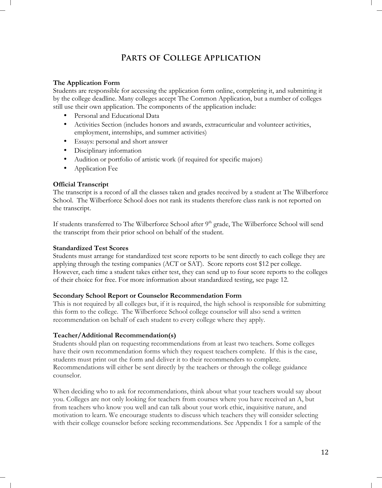### **Parts of College Application**

### **The Application Form**

Students are responsible for accessing the application form online, completing it, and submitting it by the college deadline. Many colleges accept The Common Application, but a number of colleges still use their own application. The components of the application include:

- Personal and Educational Data
- Activities Section (includes honors and awards, extracurricular and volunteer activities, employment, internships, and summer activities)
- Essays: personal and short answer
- Disciplinary information
- Audition or portfolio of artistic work (if required for specific majors)
- Application Fee

### **Official Transcript**

The transcript is a record of all the classes taken and grades received by a student at The Wilberforce School. The Wilberforce School does not rank its students therefore class rank is not reported on the transcript.

If students transferred to The Wilberforce School after 9<sup>th</sup> grade, The Wilberforce School will send the transcript from their prior school on behalf of the student.

### **Standardized Test Scores**

Students must arrange for standardized test score reports to be sent directly to each college they are applying through the testing companies (ACT or SAT). Score reports cost \$12 per college. However, each time a student takes either test, they can send up to four score reports to the colleges of their choice for free. For more information about standardized testing, see page 12.

### **Secondary School Report or Counselor Recommendation Form**

This is not required by all colleges but, if it is required, the high school is responsible for submitting this form to the college. The Wilberforce School college counselor will also send a written recommendation on behalf of each student to every college where they apply.

### **Teacher/Additional Recommendation(s)**

Students should plan on requesting recommendations from at least two teachers. Some colleges have their own recommendation forms which they request teachers complete. If this is the case, students must print out the form and deliver it to their recommenders to complete. Recommendations will either be sent directly by the teachers or through the college guidance counselor.

When deciding who to ask for recommendations, think about what your teachers would say about you. Colleges are not only looking for teachers from courses where you have received an A, but from teachers who know you well and can talk about your work ethic, inquisitive nature, and motivation to learn. We encourage students to discuss which teachers they will consider selecting with their college counselor before seeking recommendations. See Appendix 1 for a sample of the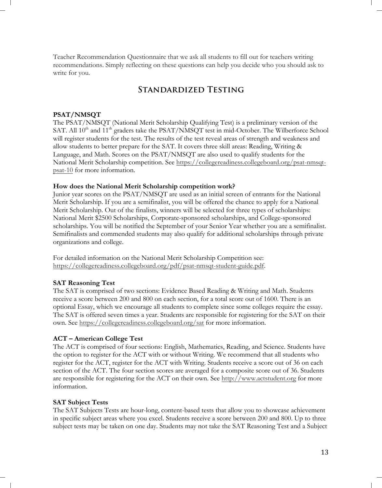Teacher Recommendation Questionnaire that we ask all students to fill out for teachers writing recommendations. Simply reflecting on these questions can help you decide who you should ask to write for you.

### **Standardized Testing**

### **PSAT/NMSQT**

The PSAT/NMSQT (National Merit Scholarship Qualifying Test) is a preliminary version of the SAT. All 10<sup>th</sup> and 11<sup>th</sup> graders take the PSAT/NMSQT test in mid-October. The Wilberforce School will register students for the test. The results of the test reveal areas of strength and weakness and allow students to better prepare for the SAT. It covers three skill areas: Reading, Writing & Language, and Math. Scores on the PSAT/NMSQT are also used to qualify students for the National Merit Scholarship competition. See https://collegereadiness.collegeboard.org/psat-nmsqtpsat-10 for more information.

### **How does the National Merit Scholarship competition work?**

Junior year scores on the PSAT/NMSQT are used as an initial screen of entrants for the National Merit Scholarship. If you are a semifinalist, you will be offered the chance to apply for a National Merit Scholarship. Out of the finalists, winners will be selected for three types of scholarships: National Merit \$2500 Scholarships, Corporate-sponsored scholarships, and College-sponsored scholarships. You will be notified the September of your Senior Year whether you are a semifinalist. Semifinalists and commended students may also qualify for additional scholarships through private organizations and college.

For detailed information on the National Merit Scholarship Competition see: https://collegereadiness.collegeboard.org/pdf/psat-nmsqt-student-guide.pdf.

### **SAT Reasoning Test**

The SAT is comprised of two sections: Evidence Based Reading & Writing and Math. Students receive a score between 200 and 800 on each section, for a total score out of 1600. There is an optional Essay, which we encourage all students to complete since some colleges require the essay. The SAT is offered seven times a year. Students are responsible for registering for the SAT on their own. See https://collegereadiness.collegeboard.org/sat for more information.

### **ACT – American College Test**

The ACT is comprised of four sections: English, Mathematics, Reading, and Science. Students have the option to register for the ACT with or without Writing. We recommend that all students who register for the ACT, register for the ACT with Writing. Students receive a score out of 36 on each section of the ACT. The four section scores are averaged for a composite score out of 36. Students are responsible for registering for the ACT on their own. See http://www.actstudent.org for more information.

### **SAT Subject Tests**

The SAT Subjects Tests are hour-long, content-based tests that allow you to showcase achievement in specific subject areas where you excel. Students receive a score between 200 and 800. Up to three subject tests may be taken on one day. Students may not take the SAT Reasoning Test and a Subject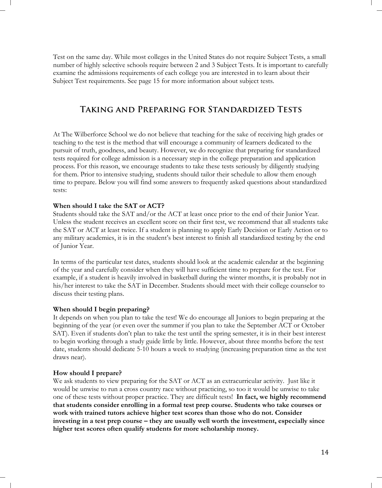Test on the same day. While most colleges in the United States do not require Subject Tests, a small number of highly selective schools require between 2 and 3 Subject Tests. It is important to carefully examine the admissions requirements of each college you are interested in to learn about their Subject Test requirements. See page 15 for more information about subject tests.

### **Taking and Preparing for Standardized Tests**

At The Wilberforce School we do not believe that teaching for the sake of receiving high grades or teaching to the test is the method that will encourage a community of learners dedicated to the pursuit of truth, goodness, and beauty. However, we do recognize that preparing for standardized tests required for college admission is a necessary step in the college preparation and application process. For this reason, we encourage students to take these tests seriously by diligently studying for them. Prior to intensive studying, students should tailor their schedule to allow them enough time to prepare. Below you will find some answers to frequently asked questions about standardized tests:

### **When should I take the SAT or ACT?**

Students should take the SAT and/or the ACT at least once prior to the end of their Junior Year. Unless the student receives an excellent score on their first test, we recommend that all students take the SAT or ACT at least twice. If a student is planning to apply Early Decision or Early Action or to any military academies, it is in the student's best interest to finish all standardized testing by the end of Junior Year.

In terms of the particular test dates, students should look at the academic calendar at the beginning of the year and carefully consider when they will have sufficient time to prepare for the test. For example, if a student is heavily involved in basketball during the winter months, it is probably not in his/her interest to take the SAT in December. Students should meet with their college counselor to discuss their testing plans.

### **When should I begin preparing?**

It depends on when you plan to take the test! We do encourage all Juniors to begin preparing at the beginning of the year (or even over the summer if you plan to take the September ACT or October SAT). Even if students don't plan to take the test until the spring semester, it is in their best interest to begin working through a study guide little by little. However, about three months before the test date, students should dedicate 5-10 hours a week to studying (increasing preparation time as the test draws near).

#### **How should I prepare?**

We ask students to view preparing for the SAT or ACT as an extracurricular activity. Just like it would be unwise to run a cross country race without practicing, so too it would be unwise to take one of these tests without proper practice. They are difficult tests! **In fact, we highly recommend that students consider enrolling in a formal test prep course. Students who take courses or work with trained tutors achieve higher test scores than those who do not. Consider investing in a test prep course – they are usually well worth the investment, especially since higher test scores often qualify students for more scholarship money.**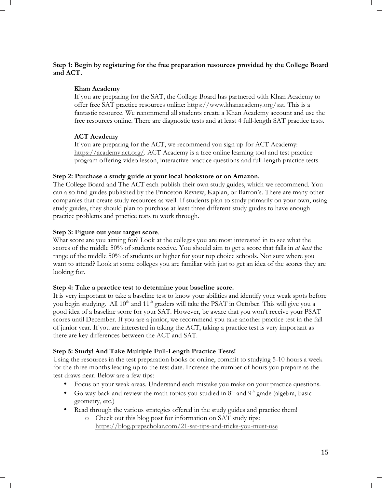### **Step 1: Begin by registering for the free preparation resources provided by the College Board and ACT.**

### **Khan Academy**

If you are preparing for the SAT, the College Board has partnered with Khan Academy to offer free SAT practice resources online: https://www.khanacademy.org/sat. This is a fantastic resource. We recommend all students create a Khan Academy account and use the free resources online. There are diagnostic tests and at least 4 full-length SAT practice tests.

### **ACT Academy**

If you are preparing for the ACT, we recommend you sign up for ACT Academy: https://academy.act.org/. ACT Academy is a free online learning tool and test practice program offering video lesson, interactive practice questions and full-length practice tests.

### **Step 2: Purchase a study guide at your local bookstore or on Amazon.**

The College Board and The ACT each publish their own study guides, which we recommend. You can also find guides published by the Princeton Review, Kaplan, or Barron's. There are many other companies that create study resources as well. If students plan to study primarily on your own, using study guides, they should plan to purchase at least three different study guides to have enough practice problems and practice tests to work through.

### **Step 3: Figure out your target score**.

What score are you aiming for? Look at the colleges you are most interested in to see what the scores of the middle 50% of students receive. You should aim to get a score that falls in *at least* the range of the middle 50% of students or higher for your top choice schools. Not sure where you want to attend? Look at some colleges you are familiar with just to get an idea of the scores they are looking for.

### **Step 4: Take a practice test to determine your baseline score.**

It is very important to take a baseline test to know your abilities and identify your weak spots before you begin studying. All 10<sup>th</sup> and 11<sup>th</sup> graders will take the PSAT in October. This will give you a good idea of a baseline score for your SAT. However, be aware that you won't receive your PSAT scores until December. If you are a junior, we recommend you take another practice test in the fall of junior year. If you are interested in taking the ACT, taking a practice test is very important as there are key differences between the ACT and SAT.

### **Step 5: Study! And Take Multiple Full-Length Practice Tests!**

Using the resources in the test preparation books or online, commit to studying 5-10 hours a week for the three months leading up to the test date. Increase the number of hours you prepare as the test draws near. Below are a few tips:

- Focus on your weak areas. Understand each mistake you make on your practice questions.
- Go way back and review the math topics you studied in  $8<sup>th</sup>$  and  $9<sup>th</sup>$  grade (algebra, basic geometry, etc.)
- Read through the various strategies offered in the study guides and practice them!
	- o Check out this blog post for information on SAT study tips: https://blog.prepscholar.com/21-sat-tips-and-tricks-you-must-use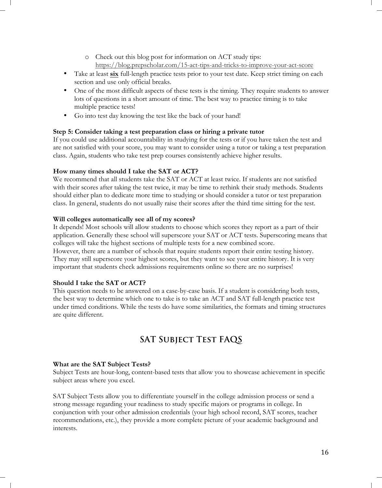- o Check out this blog post for information on ACT study tips: https://blog.prepscholar.com/15-act-tips-and-tricks-to-improve-your-act-score
- Take at least **six** full-length practice tests prior to your test date. Keep strict timing on each section and use only official breaks.
- One of the most difficult aspects of these tests is the timing. They require students to answer lots of questions in a short amount of time. The best way to practice timing is to take multiple practice tests!
- Go into test day knowing the test like the back of your hand!

### **Step 5: Consider taking a test preparation class or hiring a private tutor**

If you could use additional accountability in studying for the tests or if you have taken the test and are not satisfied with your score, you may want to consider using a tutor or taking a test preparation class. Again, students who take test prep courses consistently achieve higher results.

### **How many times should I take the SAT or ACT?**

We recommend that all students take the SAT or ACT at least twice. If students are not satisfied with their scores after taking the test twice, it may be time to rethink their study methods. Students should either plan to dedicate more time to studying or should consider a tutor or test preparation class. In general, students do not usually raise their scores after the third time sitting for the test.

### **Will colleges automatically see all of my scores?**

It depends! Most schools will allow students to choose which scores they report as a part of their application. Generally these school will superscore your SAT or ACT tests. Superscoring means that colleges will take the highest sections of multiple tests for a new combined score. However, there are a number of schools that require students report their entire testing history. They may still superscore your highest scores, but they want to see your entire history. It is very

important that students check admissions requirements online so there are no surprises!

### **Should I take the SAT or ACT?**

This question needs to be answered on a case-by-case basis. If a student is considering both tests, the best way to determine which one to take is to take an ACT and SAT full-length practice test under timed conditions. While the tests do have some similarities, the formats and timing structures are quite different.

### **SAT Subject Test FAQS**

### **What are the SAT Subject Tests?**

Subject Tests are hour-long, content-based tests that allow you to showcase achievement in specific subject areas where you excel.

SAT Subject Tests allow you to differentiate yourself in the college admission process or send a strong message regarding your readiness to study specific majors or programs in college. In conjunction with your other admission credentials (your high school record, SAT scores, teacher recommendations, etc.), they provide a more complete picture of your academic background and interests.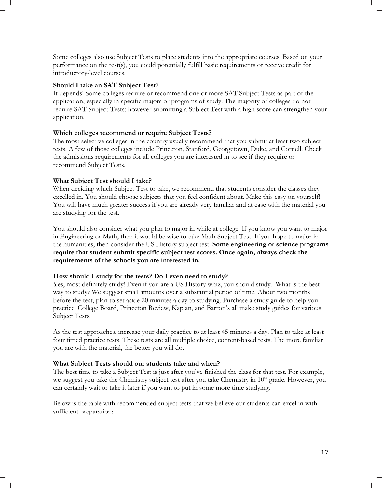Some colleges also use Subject Tests to place students into the appropriate courses. Based on your performance on the test(s), you could potentially fulfill basic requirements or receive credit for introductory-level courses.

### **Should I take an SAT Subject Test?**

It depends! Some colleges require or recommend one or more SAT Subject Tests as part of the application, especially in specific majors or programs of study. The majority of colleges do not require SAT Subject Tests; however submitting a Subject Test with a high score can strengthen your application.

### **Which colleges recommend or require Subject Tests?**

The most selective colleges in the country usually recommend that you submit at least two subject tests. A few of those colleges include Princeton, Stanford, Georgetown, Duke, and Cornell. Check the admissions requirements for all colleges you are interested in to see if they require or recommend Subject Tests.

### **What Subject Test should I take?**

When deciding which Subject Test to take, we recommend that students consider the classes they excelled in. You should choose subjects that you feel confident about. Make this easy on yourself! You will have much greater success if you are already very familiar and at ease with the material you are studying for the test.

You should also consider what you plan to major in while at college. If you know you want to major in Engineering or Math, then it would be wise to take Math Subject Test. If you hope to major in the humanities, then consider the US History subject test. **Some engineering or science programs require that student submit specific subject test scores. Once again, always check the requirements of the schools you are interested in.**

### **How should I study for the tests? Do I even need to study?**

Yes, most definitely study! Even if you are a US History whiz, you should study. What is the best way to study? We suggest small amounts over a substantial period of time. About two months before the test, plan to set aside 20 minutes a day to studying. Purchase a study guide to help you practice. College Board, Princeton Review, Kaplan, and Barron's all make study guides for various Subject Tests.

As the test approaches, increase your daily practice to at least 45 minutes a day. Plan to take at least four timed practice tests. These tests are all multiple choice, content-based tests. The more familiar you are with the material, the better you will do.

#### **What Subject Tests should our students take and when?**

The best time to take a Subject Test is just after you've finished the class for that test. For example, we suggest you take the Chemistry subject test after you take Chemistry in  $10<sup>th</sup>$  grade. However, you can certainly wait to take it later if you want to put in some more time studying.

Below is the table with recommended subject tests that we believe our students can excel in with sufficient preparation: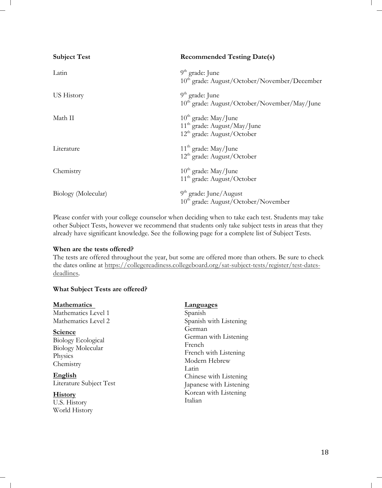| <b>Subject Test</b> | <b>Recommended Testing Date(s)</b>                                                      |
|---------------------|-----------------------------------------------------------------------------------------|
| Latin               | $9th$ grade: June<br>10 <sup>th</sup> grade: August/October/November/December           |
| US History          | $9th$ grade: June<br>10 <sup>th</sup> grade: August/October/November/May/June           |
| Math II             | $10th$ grade: May/June<br>$11th$ grade: August/May/June<br>$12th$ grade: August/October |
| Literature          | $11th$ grade: May/June<br>$12th$ grade: August/October                                  |
| Chemistry           | $10th$ grade: May/June<br>$11th$ grade: August/October                                  |
| Biology (Molecular) | $9th$ grade: June/August<br>$10^{th}$ grade: August/October/November                    |

Please confer with your college counselor when deciding when to take each test. Students may take other Subject Tests, however we recommend that students only take subject tests in areas that they already have significant knowledge. See the following page for a complete list of Subject Tests.

### **When are the tests offered?**

 $\mathbb{I}$ 

 $\Box$ 

The tests are offered throughout the year, but some are offered more than others. Be sure to check the dates online at https://collegereadiness.collegeboard.org/sat-subject-tests/register/test-datesdeadlines.

### **What Subject Tests are offered?**

| <b>Mathematics</b>        | Languages               |
|---------------------------|-------------------------|
| Mathematics Level 1       | Spanish                 |
| Mathematics Level 2       | Spanish with Listening  |
| <b>Science</b>            | German                  |
| <b>Biology Ecological</b> | German with Listening   |
| <b>Biology Molecular</b>  | French                  |
| Physics                   | French with Listening   |
| Chemistry                 | Modern Hebrew           |
|                           | Latin                   |
| <b>English</b>            | Chinese with Listening  |
| Literature Subject Test   | Japanese with Listening |
| <b>History</b>            | Korean with Listening   |
| U.S. History              | Italian                 |
| World History             |                         |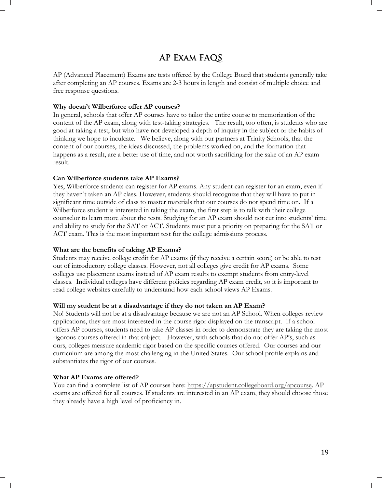### **AP Exam FAQS**

AP (Advanced Placement) Exams are tests offered by the College Board that students generally take after completing an AP courses. Exams are 2-3 hours in length and consist of multiple choice and free response questions.

### **Why doesn't Wilberforce offer AP courses?**

In general, schools that offer AP courses have to tailor the entire course to memorization of the content of the AP exam, along with test-taking strategies. The result, too often, is students who are good at taking a test, but who have not developed a depth of inquiry in the subject or the habits of thinking we hope to inculcate. We believe, along with our partners at Trinity Schools, that the content of our courses, the ideas discussed, the problems worked on, and the formation that happens as a result, are a better use of time, and not worth sacrificing for the sake of an AP exam result.

### **Can Wilberforce students take AP Exams?**

Yes, Wilberforce students can register for AP exams. Any student can register for an exam, even if they haven't taken an AP class. However, students should recognize that they will have to put in significant time outside of class to master materials that our courses do not spend time on. If a Wilberforce student is interested in taking the exam, the first step is to talk with their college counselor to learn more about the tests. Studying for an AP exam should not cut into students' time and ability to study for the SAT or ACT. Students must put a priority on preparing for the SAT or ACT exam. This is the most important test for the college admissions process.

### **What are the benefits of taking AP Exams?**

Students may receive college credit for AP exams (if they receive a certain score) or be able to test out of introductory college classes. However, not all colleges give credit for AP exams. Some colleges use placement exams instead of AP exam results to exempt students from entry-level classes. Individual colleges have different policies regarding AP exam credit, so it is important to read college websites carefully to understand how each school views AP Exams.

#### **Will my student be at a disadvantage if they do not taken an AP Exam?**

No! Students will not be at a disadvantage because we are not an AP School. When colleges review applications, they are most interested in the course rigor displayed on the transcript. If a school offers AP courses, students need to take AP classes in order to demonstrate they are taking the most rigorous courses offered in that subject. However, with schools that do not offer AP's, such as ours, colleges measure academic rigor based on the specific courses offered. Our courses and our curriculum are among the most challenging in the United States. Our school profile explains and substantiates the rigor of our courses.

### **What AP Exams are offered?**

You can find a complete list of AP courses here: https://apstudent.collegeboard.org/apcourse. AP exams are offered for all courses. If students are interested in an AP exam, they should choose those they already have a high level of proficiency in.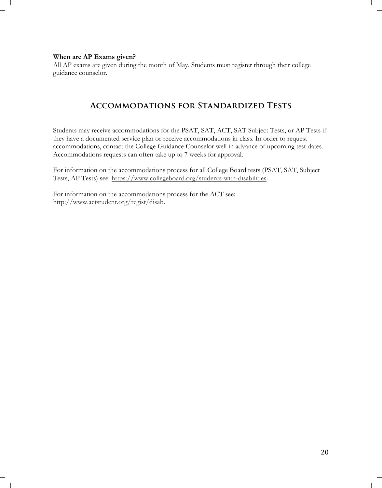### **When are AP Exams given?**

All AP exams are given during the month of May. Students must register through their college guidance counselor.

### **Accommodations for Standardized Tests**

Students may receive accommodations for the PSAT, SAT, ACT, SAT Subject Tests, or AP Tests if they have a documented service plan or receive accommodations in class. In order to request accommodations, contact the College Guidance Counselor well in advance of upcoming test dates. Accommodations requests can often take up to 7 weeks for approval.

For information on the accommodations process for all College Board tests (PSAT, SAT, Subject Tests, AP Tests) see: https://www.collegeboard.org/students-with-disabilities.

For information on the accommodations process for the ACT see: http://www.actstudent.org/regist/disab.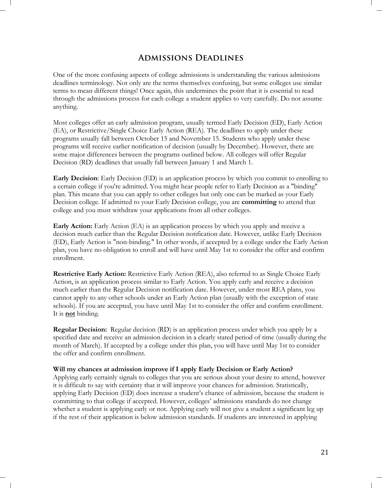### **Admissions Deadlines**

One of the more confusing aspects of college admissions is understanding the various admissions deadlines terminology. Not only are the terms themselves confusing, but some colleges use similar terms to mean different things! Once again, this undermines the point that it is essential to read through the admissions process for each college a student applies to very carefully. Do not assume anything.

Most colleges offer an early admission program, usually termed Early Decision (ED), Early Action (EA), or Restrictive/Single Choice Early Action (REA). The deadlines to apply under these programs usually fall between October 15 and November 15. Students who apply under these programs will receive earlier notification of decision (usually by December). However, there are some major differences between the programs outlined below. All colleges will offer Regular Decision (RD) deadlines that usually fall between January 1 and March 1.

**Early Decision**: Early Decision (ED) is an application process by which you commit to enrolling to a certain college if you're admitted. You might hear people refer to Early Decision as a "binding" plan. This means that you can apply to other colleges but only one can be marked as your Early Decision college. If admitted to your Early Decision college, you are **committing** to attend that college and you must withdraw your applications from all other colleges.

**Early Action:** Early Action (EA) is an application process by which you apply and receive a decision much earlier than the Regular Decision notification date. However, unlike Early Decision (ED), Early Action is "non-binding." In other words, if accepted by a college under the Early Action plan, you have no obligation to enroll and will have until May 1st to consider the offer and confirm enrollment.

**Restrictive Early Action:** Restrictive Early Action (REA), also referred to as Single Choice Early Action, is an application process similar to Early Action. You apply early and receive a decision much earlier than the Regular Decision notification date. However, under most REA plans, you cannot apply to any other schools under an Early Action plan (usually with the exception of state schools). If you are accepted, you have until May 1st to consider the offer and confirm enrollment. It is **not** binding.

**Regular Decision:** Regular decision (RD) is an application process under which you apply by a specified date and receive an admission decision in a clearly stated period of time (usually during the month of March). If accepted by a college under this plan, you will have until May 1st to consider the offer and confirm enrollment.

### **Will my chances at admission improve if I apply Early Decision or Early Action?**

Applying early certainly signals to colleges that you are serious about your desire to attend, however it is difficult to say with certainty that it will improve your chances for admission. Statistically, applying Early Decision (ED) does increase a student's chance of admission, because the student is committing to that college if accepted. However, colleges' admissions standards do not change whether a student is applying early or not. Applying early will not give a student a significant leg up if the rest of their application is below admission standards. If students are interested in applying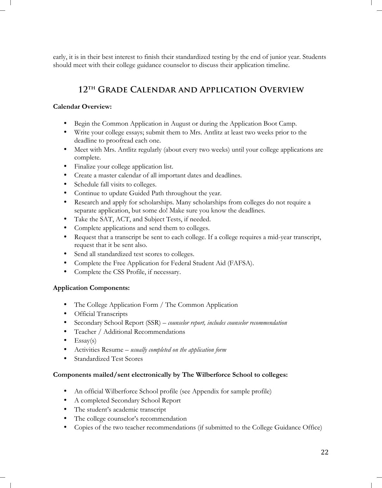early, it is in their best interest to finish their standardized testing by the end of junior year. Students should meet with their college guidance counselor to discuss their application timeline.

### **12th Grade Calendar and Application Overview**

### **Calendar Overview:**

- Begin the Common Application in August or during the Application Boot Camp.
- Write your college essays; submit them to Mrs. Antlitz at least two weeks prior to the deadline to proofread each one.
- Meet with Mrs. Antlitz regularly (about every two weeks) until your college applications are complete.
- Finalize your college application list.
- Create a master calendar of all important dates and deadlines.
- Schedule fall visits to colleges.
- Continue to update Guided Path throughout the year.
- Research and apply for scholarships. Many scholarships from colleges do not require a separate application, but some do! Make sure you know the deadlines.
- Take the SAT, ACT, and Subject Tests, if needed.
- Complete applications and send them to colleges.
- Request that a transcript be sent to each college. If a college requires a mid-year transcript, request that it be sent also.
- Send all standardized test scores to colleges.
- Complete the Free Application for Federal Student Aid (FAFSA).
- Complete the CSS Profile, if necessary.

### **Application Components:**

- The College Application Form / The Common Application
- Official Transcripts
- Secondary School Report (SSR) *counselor report, includes counselor recommendation*
- Teacher / Additional Recommendations
- $Essay(s)$
- Activities Resume *usually completed on the application form*
- Standardized Test Scores

### **Components mailed/sent electronically by The Wilberforce School to colleges:**

- An official Wilberforce School profile (see Appendix for sample profile)
- A completed Secondary School Report
- The student's academic transcript
- The college counselor's recommendation
- Copies of the two teacher recommendations (if submitted to the College Guidance Office)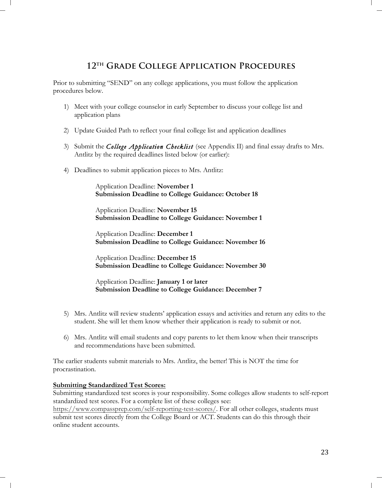### **12th Grade College Application Procedures**

Prior to submitting "SEND" on any college applications, you must follow the application procedures below.

- 1) Meet with your college counselor in early September to discuss your college list and application plans
- 2) Update Guided Path to reflect your final college list and application deadlines
- 3) Submit the *College Application Checklist* (see Appendix II) and final essay drafts to Mrs. Antlitz by the required deadlines listed below (or earlier):
- 4) Deadlines to submit application pieces to Mrs. Antlitz:

Application Deadline: **November 1 Submission Deadline to College Guidance: October 18** 

Application Deadline: **November 15 Submission Deadline to College Guidance: November 1** 

Application Deadline: **December 1 Submission Deadline to College Guidance: November 16** 

Application Deadline: **December 15 Submission Deadline to College Guidance: November 30** 

Application Deadline: **January 1 or later Submission Deadline to College Guidance: December 7** 

- 5) Mrs. Antlitz will review students' application essays and activities and return any edits to the student. She will let them know whether their application is ready to submit or not.
- 6) Mrs. Antlitz will email students and copy parents to let them know when their transcripts and recommendations have been submitted.

The earlier students submit materials to Mrs. Antlitz, the better! This is NOT the time for procrastination.

### **Submitting Standardized Test Scores:**

Submitting standardized test scores is your responsibility. Some colleges allow students to self-report standardized test scores. For a complete list of these colleges see: https://www.compassprep.com/self-reporting-test-scores/. For all other colleges, students must submit test scores directly from the College Board or ACT. Students can do this through their online student accounts.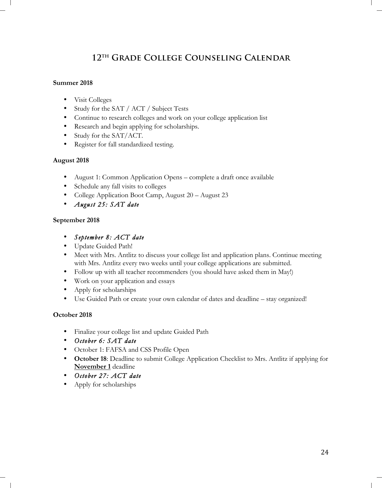### **12th Grade College Counseling Calendar**

### **Summer 2018**

- Visit Colleges
- Study for the SAT / ACT / Subject Tests
- Continue to research colleges and work on your college application list
- Research and begin applying for scholarships.
- Study for the SAT/ACT.
- Register for fall standardized testing.

### **August 2018**

- August 1: Common Application Opens complete a draft once available
- Schedule any fall visits to colleges
- College Application Boot Camp, August 20 August 23
- *August 25: SAT date*

### **September 2018**

- *September 8: ACT date*
- Update Guided Path!
- Meet with Mrs. Antlitz to discuss your college list and application plans. Continue meeting with Mrs. Antlitz every two weeks until your college applications are submitted.
- Follow up with all teacher recommenders (you should have asked them in May!)
- Work on your application and essays
- Apply for scholarships
- Use Guided Path or create your own calendar of dates and deadline stay organized!

### **October 2018**

- Finalize your college list and update Guided Path
- *October 6: SAT date*
- October 1: FAFSA and CSS Profile Open
- **October 18**: Deadline to submit College Application Checklist to Mrs. Antlitz if applying for **November 1** deadline
- *October 27: ACT date*
- Apply for scholarships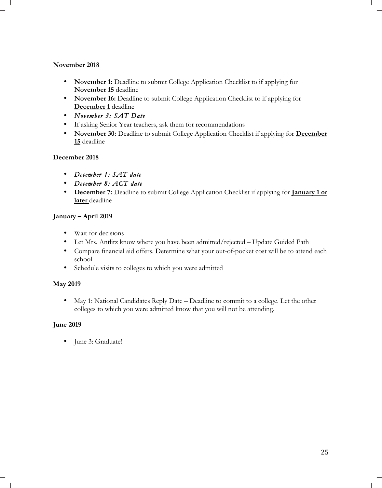### **November 2018**

- **November 1:** Deadline to submit College Application Checklist to if applying for **November 15** deadline
- **November 16:** Deadline to submit College Application Checklist to if applying for **December 1** deadline
- *November 3: SAT Date*
- If asking Senior Year teachers, ask them for recommendations
- **November 30:** Deadline to submit College Application Checklist if applying for **December 15** deadline

### **December 2018**

- *December 1: SAT date*
- *December 8: ACT date*
- **December 7:** Deadline to submit College Application Checklist if applying for **January 1 or later** deadline

### **January – April 2019**

- Wait for decisions
- Let Mrs. Antlitz know where you have been admitted/rejected Update Guided Path
- Compare financial aid offers. Determine what your out-of-pocket cost will be to attend each school
- Schedule visits to colleges to which you were admitted

### **May 2019**

• May 1: National Candidates Reply Date – Deadline to commit to a college. Let the other colleges to which you were admitted know that you will not be attending.

### **June 2019**

 $\overline{\phantom{a}}$ 

• June 3: Graduate!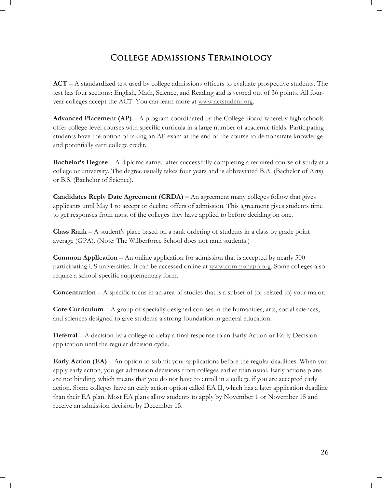### **College Admissions Terminology**

**ACT** – A standardized test used by college admissions officers to evaluate prospective students. The test has four sections: English, Math, Science, and Reading and is scored out of 36 points. All fouryear colleges accept the ACT. You can learn more at www.actstudent.org.

**Advanced Placement (AP)** – A program coordinated by the College Board whereby high schools offer college-level courses with specific curricula in a large number of academic fields. Participating students have the option of taking an AP exam at the end of the course to demonstrate knowledge and potentially earn college credit.

**Bachelor's Degree** – A diploma earned after successfully completing a required course of study at a college or university. The degree usually takes four years and is abbreviated B.A. (Bachelor of Arts) or B.S. (Bachelor of Science).

**Candidates Reply Date Agreement (CRDA) –** An agreement many colleges follow that gives applicants until May 1 to accept or decline offers of admission. This agreement gives students time to get responses from most of the colleges they have applied to before deciding on one.

**Class Rank** – A student's place based on a rank ordering of students in a class by grade point average (GPA). (Note: The Wilberforce School does not rank students.)

**Common Application** – An online application for admission that is accepted by nearly 500 participating US universities. It can be accessed online at www.commonapp.org. Some colleges also require a school-specific supplementary form.

**Concentration** – A specific focus in an area of studies that is a subset of (or related to) your major.

**Core Curriculum** – A group of specially designed courses in the humanities, arts, social sciences, and sciences designed to give students a strong foundation in general education.

**Deferral** – A decision by a college to delay a final response to an Early Action or Early Decision application until the regular decision cycle.

**Early Action (EA)** – An option to submit your applications before the regular deadlines. When you apply early action, you get admission decisions from colleges earlier than usual. Early actions plans are not binding, which means that you do not have to enroll in a college if you are accepted early action. Some colleges have an early action option called EA II, which has a later application deadline than their EA plan. Most EA plans allow students to apply by November 1 or November 15 and receive an admission decision by December 15.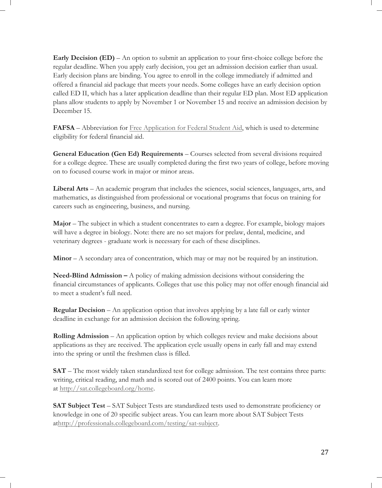**Early Decision (ED)** – An option to submit an application to your first-choice college before the regular deadline. When you apply early decision, you get an admission decision earlier than usual. Early decision plans are binding. You agree to enroll in the college immediately if admitted and offered a financial aid package that meets your needs. Some colleges have an early decision option called ED II, which has a later application deadline than their regular ED plan. Most ED application plans allow students to apply by November 1 or November 15 and receive an admission decision by December 15.

**FAFSA** – Abbreviation for Free Application for Federal Student Aid, which is used to determine eligibility for federal financial aid.

**General Education (Gen Ed) Requirements** – Courses selected from several divisions required for a college degree. These are usually completed during the first two years of college, before moving on to focused course work in major or minor areas.

**Liberal Arts** – An academic program that includes the sciences, social sciences, languages, arts, and mathematics, as distinguished from professional or vocational programs that focus on training for careers such as engineering, business, and nursing.

**Major** – The subject in which a student concentrates to earn a degree. For example, biology majors will have a degree in biology. Note: there are no set majors for prelaw, dental, medicine, and veterinary degrees - graduate work is necessary for each of these disciplines.

**Minor** – A secondary area of concentration, which may or may not be required by an institution.

**Need-Blind Admission –** A policy of making admission decisions without considering the financial circumstances of applicants. Colleges that use this policy may not offer enough financial aid to meet a student's full need.

**Regular Decision** – An application option that involves applying by a late fall or early winter deadline in exchange for an admission decision the following spring.

**Rolling Admission** – An application option by which colleges review and make decisions about applications as they are received. The application cycle usually opens in early fall and may extend into the spring or until the freshmen class is filled.

**SAT** – The most widely taken standardized test for college admission. The test contains three parts: writing, critical reading, and math and is scored out of 2400 points. You can learn more at http://sat.collegeboard.org/home.

**SAT Subject Test** – SAT Subject Tests are standardized tests used to demonstrate proficiency or knowledge in one of 20 specific subject areas. You can learn more about SAT Subject Tests athttp://professionals.collegeboard.com/testing/sat-subject.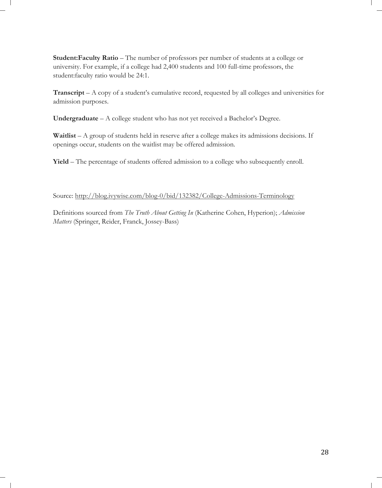**Student:Faculty Ratio** – The number of professors per number of students at a college or university. For example, if a college had 2,400 students and 100 full-time professors, the student:faculty ratio would be 24:1.

**Transcript** – A copy of a student's cumulative record, requested by all colleges and universities for admission purposes.

**Undergraduate** – A college student who has not yet received a Bachelor's Degree.

**Waitlist** – A group of students held in reserve after a college makes its admissions decisions. If openings occur, students on the waitlist may be offered admission.

**Yield** – The percentage of students offered admission to a college who subsequently enroll.

### Source: http://blog.ivywise.com/blog-0/bid/132382/College-Admissions-Terminology

Definitions sourced from *The Truth About Getting In* (Katherine Cohen, Hyperion); *Admission Matters* (Springer, Reider, Franck, Jossey-Bass)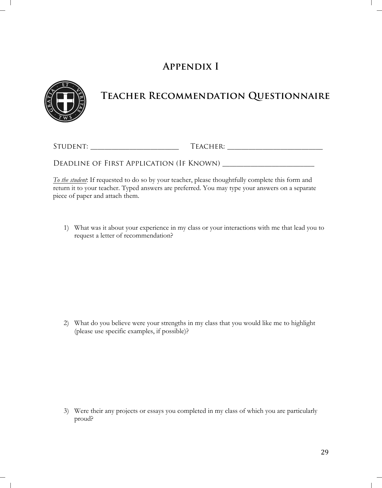# **Appendix I**



## **Teacher Recommendation Questionnaire**

Student: \_\_\_\_\_\_\_\_\_\_\_\_\_\_\_\_\_\_\_\_\_\_\_\_\_ Teacher: \_\_\_\_\_\_\_\_\_\_\_\_\_\_\_\_\_\_\_\_\_\_\_\_\_\_\_

Deadline of First Application (If Known) \_\_\_\_\_\_\_\_\_\_\_\_\_\_\_\_\_\_\_\_\_\_\_\_\_\_

*To the student*: If requested to do so by your teacher, please thoughtfully complete this form and return it to your teacher. Typed answers are preferred. You may type your answers on a separate piece of paper and attach them.

1) What was it about your experience in my class or your interactions with me that lead you to request a letter of recommendation?

2) What do you believe were your strengths in my class that you would like me to highlight (please use specific examples, if possible)?

3) Were their any projects or essays you completed in my class of which you are particularly proud?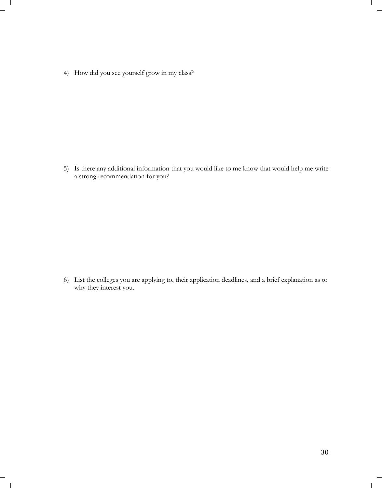4) How did you see yourself grow in my class?

 $\perp$ 

 $\blacksquare$ 

5) Is there any additional information that you would like to me know that would help me write a strong recommendation for you?

6) List the colleges you are applying to, their application deadlines, and a brief explanation as to why they interest you.

 $\overline{1}$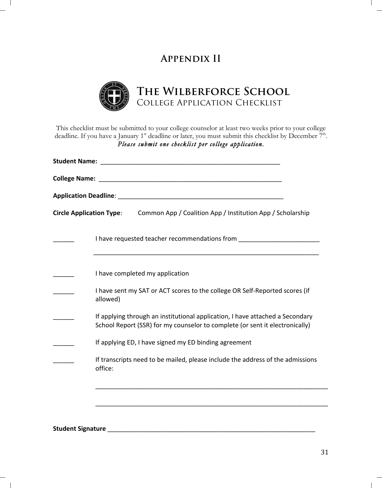# **Appendix II**



This checklist must be submitted to your college counselor at least two weeks prior to your college deadline. If you have a January 1<sup>st</sup> deadline or later, you must submit this checklist by December  $7<sup>th</sup>$ . *Please submit one checklist per college application.*

| <b>Circle Application Type:</b><br>Common App / Coalition App / Institution App / Scholarship                                                                 |
|---------------------------------------------------------------------------------------------------------------------------------------------------------------|
| I have requested teacher recommendations from __________________________________                                                                              |
| I have completed my application                                                                                                                               |
| I have sent my SAT or ACT scores to the college OR Self-Reported scores (if<br>allowed)                                                                       |
| If applying through an institutional application, I have attached a Secondary<br>School Report (SSR) for my counselor to complete (or sent it electronically) |
| If applying ED, I have signed my ED binding agreement                                                                                                         |
| If transcripts need to be mailed, please include the address of the admissions<br>office:                                                                     |
|                                                                                                                                                               |
|                                                                                                                                                               |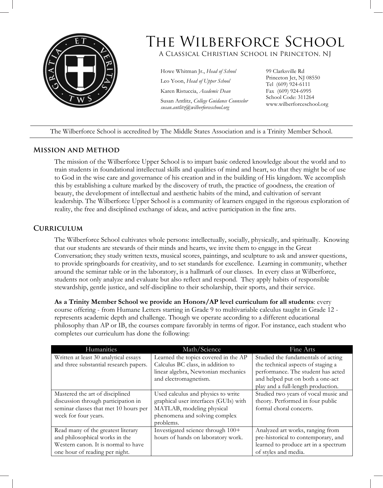

# The Wilberforce School A Classical Christian School in Princeton, NJ

Howe Whitman Jr., *Head of School* Leo Yoon, *Head of Upper School* Karen Ristuccia, *Academic Dean*  Susan Antlitz, *College Guidance Counselor susan.antlitz@wilberforceschool.org* 

99 Clarksville Rd Princeton Jct, NJ 08550 Tel (609) 924-6111 Fax (609) 924-6995 School Code: 311264 www.wilberforceschool.org

The Wilberforce School is accredited by The Middle States Association and is a Trinity Member School.

### **Mission and Method**

The mission of the Wilberforce Upper School is to impart basic ordered knowledge about the world and to train students in foundational intellectual skills and qualities of mind and heart, so that they might be of use to God in the wise care and governance of his creation and in the building of His kingdom. We accomplish this by establishing a culture marked by the discovery of truth, the practice of goodness, the creation of beauty, the development of intellectual and aesthetic habits of the mind, and cultivation of servant leadership. The Wilberforce Upper School is a community of learners engaged in the rigorous exploration of reality, the free and disciplined exchange of ideas, and active participation in the fine arts.

### **Curriculum**

The Wilberforce School cultivates whole persons: intellectually, socially, physically, and spiritually. Knowing that our students are stewards of their minds and hearts, we invite them to engage in the Great Conversation; they study written texts, musical scores, paintings, and sculpture to ask and answer questions, to provide springboards for creativity, and to set standards for excellence. Learning in community, whether around the seminar table or in the laboratory, is a hallmark of our classes. In every class at Wilberforce, students not only analyze and evaluate but also reflect and respond. They apply habits of responsible stewardship, gentle justice, and self-discipline to their scholarship, their sports, and their service.

**As a Trinity Member School we provide an Honors/AP level curriculum for all students**: every course offering - from Humane Letters starting in Grade 9 to multivariable calculus taught in Grade 12 represents academic depth and challenge. Though we operate according to a different educational philosophy than AP or IB, the courses compare favorably in terms of rigor. For instance, each student who completes our curriculum has done the following:

| Humanities                             | Math/Science                          | Fine Arts                            |
|----------------------------------------|---------------------------------------|--------------------------------------|
| Written at least 30 analytical essays  | Learned the topics covered in the AP  | Studied the fundamentals of acting   |
| and three substantial research papers. | Calculus BC class, in addition to     | the technical aspects of staging a   |
|                                        | linear algebra, Newtonian mechanics   | performance. The student has acted   |
|                                        | and electromagnetism.                 | and helped put on both a one-act     |
|                                        |                                       | play and a full-length production.   |
| Mastered the art of disciplined        | Used calculus and physics to write    | Studied two years of vocal music and |
| discussion through participation in    | graphical user interfaces (GUIs) with | theory. Performed in four public     |
| seminar classes that met 10 hours per  | MATLAB, modeling physical             | formal choral concerts.              |
| week for four years.                   | phenomena and solving complex         |                                      |
|                                        | problems.                             |                                      |
| Read many of the greatest literary     | Investigated science through 100+     | Analyzed art works, ranging from     |
| and philosophical works in the         | hours of hands on laboratory work.    | pre-historical to contemporary, and  |
| Western canon. It is normal to have    |                                       | learned to produce art in a spectrum |
| one hour of reading per night.         |                                       | of styles and media.                 |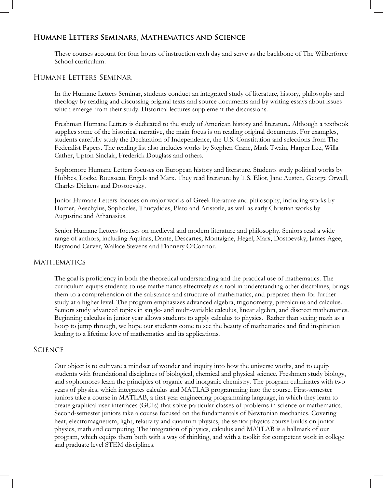### **Humane Letters Seminars, Mathematics and Science**

These courses account for four hours of instruction each day and serve as the backbone of The Wilberforce School curriculum.

### Humane Letters Seminar

In the Humane Letters Seminar, students conduct an integrated study of literature, history, philosophy and theology by reading and discussing original texts and source documents and by writing essays about issues which emerge from their study. Historical lectures supplement the discussions.

Freshman Humane Letters is dedicated to the study of American history and literature. Although a textbook supplies some of the historical narrative, the main focus is on reading original documents. For examples, students carefully study the Declaration of Independence, the U.S. Constitution and selections from The Federalist Papers. The reading list also includes works by Stephen Crane, Mark Twain, Harper Lee, Willa Cather, Upton Sinclair, Frederick Douglass and others.

Sophomore Humane Letters focuses on European history and literature. Students study political works by Hobbes, Locke, Rousseau, Engels and Marx. They read literature by T.S. Eliot, Jane Austen, George Orwell, Charles Dickens and Dostoevsky.

Junior Humane Letters focuses on major works of Greek literature and philosophy, including works by Homer, Aeschylus, Sophocles, Thucydides, Plato and Aristotle, as well as early Christian works by Augustine and Athanasius.

Senior Humane Letters focuses on medieval and modern literature and philosophy. Seniors read a wide range of authors, including Aquinas, Dante, Descartes, Montaigne, Hegel, Marx, Dostoevsky, James Agee, Raymond Carver, Wallace Stevens and Flannery O'Connor.

### **MATHEMATICS**

The goal is proficiency in both the theoretical understanding and the practical use of mathematics. The curriculum equips students to use mathematics effectively as a tool in understanding other disciplines, brings them to a comprehension of the substance and structure of mathematics, and prepares them for further study at a higher level. The program emphasizes advanced algebra, trigonometry, precalculus and calculus. Seniors study advanced topics in single- and multi-variable calculus, linear algebra, and discreet mathematics. Beginning calculus in junior year allows students to apply calculus to physics. Rather than seeing math as a hoop to jump through, we hope our students come to see the beauty of mathematics and find inspiration leading to a lifetime love of mathematics and its applications.

### **SCIENCE**

Our object is to cultivate a mindset of wonder and inquiry into how the universe works, and to equip students with foundational disciplines of biological, chemical and physical science. Freshmen study biology, and sophomores learn the principles of organic and inorganic chemistry. The program culminates with two years of physics, which integrates calculus and MATLAB programming into the course. First-semester juniors take a course in MATLAB, a first year engineering programming language, in which they learn to create graphical user interfaces (GUIs) that solve particular classes of problems in science or mathematics. Second-semester juniors take a course focused on the fundamentals of Newtonian mechanics. Covering heat, electromagnetism, light, relativity and quantum physics, the senior physics course builds on junior physics, math and computing. The integration of physics, calculus and MATLAB is a hallmark of our program, which equips them both with a way of thinking, and with a toolkit for competent work in college and graduate level STEM disciplines.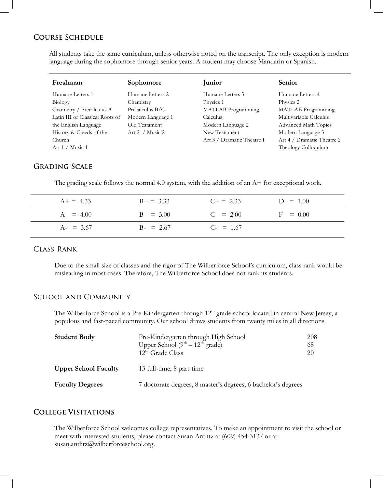### **Course Schedule**

All students take the same curriculum, unless otherwise noted on the transcript. The only exception is modern language during the sophomore through senior years. A student may choose Mandarin or Spanish.

| Freshman                        | Sophomore           | Junior                     | <b>Senior</b>               |
|---------------------------------|---------------------|----------------------------|-----------------------------|
| Humane Letters 1                | Humane Letters 2    | Humane Letters 3           | Humane Letters 4            |
| Biology                         | Chemistry           | Physics 1                  | Physics 2                   |
| Geometry / Precalculus A        | Precalculus $B/C$   | MATLAB Programming         | MATLAB Programming          |
| Latin III or Classical Roots of | Modern Language 1   | Calculus                   | Multivariable Calculus      |
| the English Language            | Old Testament       | Modern Language 2          | <b>Advanced Math Topics</b> |
| History & Creeds of the         | Art $2 /$ Music $2$ | New Testament              | Modern Language 3           |
| Church                          |                     | Art 3 / Dramatic Theatre I | Art 4 / Dramatic Theatre 2  |
| Art $1 /$ Music $1$             |                     |                            | Theology Colloquium         |

### **Grading Scale**

The grading scale follows the normal 4.0 system, with the addition of an A+ for exceptional work.

| $A+=4.33$  | $B+=3.33$  | $C+=2.33$      | $D = 1.00$ |
|------------|------------|----------------|------------|
| $A = 4.00$ | $B = 3.00$ | $C = 2.00$     | $F = 0.00$ |
| $A - 3.67$ | $B - 2.67$ | $C_{-} = 1.67$ |            |

### Class Rank

Due to the small size of classes and the rigor of The Wilberforce School's curriculum, class rank would be misleading in most cases. Therefore, The Wilberforce School does not rank its students.

### School and Community

The Wilberforce School is a Pre-Kindergarten through 12<sup>th</sup> grade school located in central New Jersey, a populous and fast-paced community. Our school draws students from twenty miles in all directions.

| <b>Student Body</b>         | Pre-Kindergarten through High School<br>Upper School ( $9th - 12th$ grade)<br>$12th$ Grade Class | 208<br>65<br>20 |
|-----------------------------|--------------------------------------------------------------------------------------------------|-----------------|
| <b>Upper School Faculty</b> | 13 full-time, 8 part-time                                                                        |                 |
| <b>Faculty Degrees</b>      | 7 doctorate degrees, 8 master's degrees, 6 bachelor's degrees                                    |                 |

### **College Visitations**

The Wilberforce School welcomes college representatives. To make an appointment to visit the school or meet with interested students, please contact Susan Antlitz at (609) 454-3137 or at susan.antlitz@wilberforceschool.org.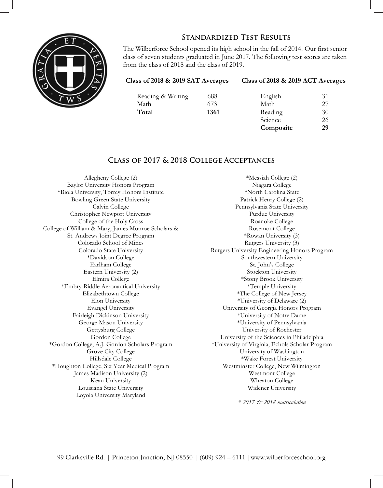

### **Standardized Test Results**

The Wilberforce School opened its high school in the fall of 2014. Our first senior class of seven students graduated in June 2017. The following test scores are taken from the class of 2018 and the class of 2019.

| Class of 2018 & 2019 SAT Averages |      | Class of 2018 & 2019 ACT Averages |    |  |
|-----------------------------------|------|-----------------------------------|----|--|
| Reading & Writing                 | 688  | English                           | 31 |  |
| Math                              | 673  | Math                              | 27 |  |
| Total                             | 1361 | Reading                           | 30 |  |
|                                   |      | Science                           | 26 |  |
|                                   |      | Composite                         | 29 |  |

### **Class of 2017 & 2018 College Acceptances**

Allegheny College (2) Baylor University Honors Program \*Biola University, Torrey Honors Institute Bowling Green State University Calvin College Christopher Newport University College of the Holy Cross College of William & Mary, James Monroe Scholars & St. Andrews Joint Degree Program Colorado School of Mines Colorado State University \*Davidson College Earlham College Eastern University (2) Elmira College \*Embry-Riddle Aeronautical University Elizabethtown College Elon University Evangel University Fairleigh Dickinson University George Mason University Gettysburg College Gordon College \*Gordon College, A.J. Gordon Scholars Program Grove City College Hillsdale College \*Houghton College, Six Year Medical Program James Madison University (2) Kean University Louisiana State University Loyola University Maryland \*Messiah College (2) Niagara College \*North Carolina State Patrick Henry College (2) Pennsylvania State University Purdue University Roanoke College Rosemont College \*Rowan University (3) Rutgers University (3) Rutgers University Engineering Honors Program Southwestern University St. John's College Stockton University \*Stony Brook University \*Temple University \*The College of New Jersey \*University of Delaware (2) University of Georgia Honors Program \*University of Notre Dame \*University of Pennsylvania University of Rochester University of the Sciences in Philadelphia \*University of Virginia, Echols Scholar Program University of Washington \*Wake Forest University Westminster College, New Wilmington Westmont College Wheaton College Widener University

*\* 2017 & 2018 matriculation*